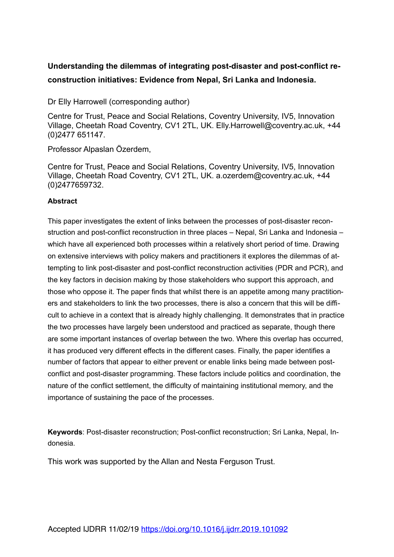# **Understanding the dilemmas of integrating post-disaster and post-conflict reconstruction initiatives: Evidence from Nepal, Sri Lanka and Indonesia.**

Dr Elly Harrowell (corresponding author)

Centre for Trust, Peace and Social Relations, Coventry University, IV5, Innovation Village, Cheetah Road Coventry, CV1 2TL, UK. Elly.Harrowell@coventry.ac.uk, +44 (0)2477 651147.

Professor Alpaslan Özerdem,

Centre for Trust, Peace and Social Relations, Coventry University, IV5, Innovation Village, Cheetah Road Coventry, CV1 2TL, UK. a.ozerdem@coventry.ac.uk, +44 (0)2477659732.

# **Abstract**

This paper investigates the extent of links between the processes of post-disaster reconstruction and post-conflict reconstruction in three places – Nepal, Sri Lanka and Indonesia – which have all experienced both processes within a relatively short period of time. Drawing on extensive interviews with policy makers and practitioners it explores the dilemmas of attempting to link post-disaster and post-conflict reconstruction activities (PDR and PCR), and the key factors in decision making by those stakeholders who support this approach, and those who oppose it. The paper finds that whilst there is an appetite among many practitioners and stakeholders to link the two processes, there is also a concern that this will be difficult to achieve in a context that is already highly challenging. It demonstrates that in practice the two processes have largely been understood and practiced as separate, though there are some important instances of overlap between the two. Where this overlap has occurred, it has produced very different effects in the different cases. Finally, the paper identifies a number of factors that appear to either prevent or enable links being made between postconflict and post-disaster programming. These factors include politics and coordination, the nature of the conflict settlement, the difficulty of maintaining institutional memory, and the importance of sustaining the pace of the processes.

**Keywords**: Post-disaster reconstruction; Post-conflict reconstruction; Sri Lanka, Nepal, Indonesia.

This work was supported by the Allan and Nesta Ferguson Trust.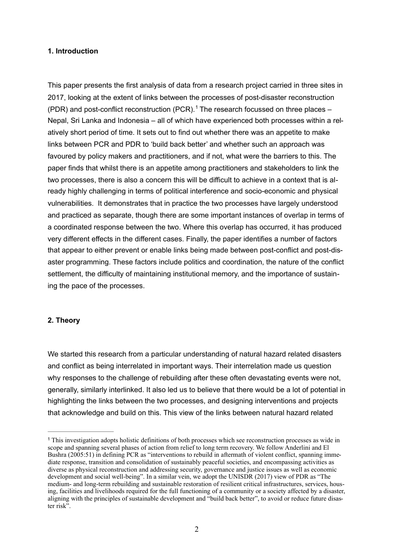## **1. Introduction**

<span id="page-1-1"></span>This paper presents the first analysis of data from a research project carried in three sites in 2017, looking at the extent of links between the processes of post-disaster reconstruction (PDR) and post-conflict reconstruction (PCR).<sup>[1](#page-1-0)</sup> The research focussed on three places – Nepal, Sri Lanka and Indonesia – all of which have experienced both processes within a relatively short period of time. It sets out to find out whether there was an appetite to make links between PCR and PDR to 'build back better' and whether such an approach was favoured by policy makers and practitioners, and if not, what were the barriers to this. The paper finds that whilst there is an appetite among practitioners and stakeholders to link the two processes, there is also a concern this will be difficult to achieve in a context that is already highly challenging in terms of political interference and socio-economic and physical vulnerabilities. It demonstrates that in practice the two processes have largely understood and practiced as separate, though there are some important instances of overlap in terms of a coordinated response between the two. Where this overlap has occurred, it has produced very different effects in the different cases. Finally, the paper identifies a number of factors that appear to either prevent or enable links being made between post-conflict and post-disaster programming. These factors include politics and coordination, the nature of the conflict settlement, the difficulty of maintaining institutional memory, and the importance of sustaining the pace of the processes.

#### **2. Theory**

We started this research from a particular understanding of natural hazard related disasters and conflict as being interrelated in important ways. Their interrelation made us question why responses to the challenge of rebuilding after these often devastating events were not, generally, similarly interlinked. It also led us to believe that there would be a lot of potential in highlighting the links between the two processes, and designing interventions and projects that acknowledge and build on this. This view of the links between natural hazard related

<span id="page-1-0"></span><sup>&</sup>lt;sup>[1](#page-1-1)</sup> This investigation adopts holistic definitions of both processes which see reconstruction processes as wide in scope and spanning several phases of action from relief to long term recovery. We follow Anderlini and El Bushra (2005:51) in defining PCR as "interventions to rebuild in aftermath of violent conflict, spanning immediate response, transition and consolidation of sustainably peaceful societies, and encompassing activities as diverse as physical reconstruction and addressing security, governance and justice issues as well as economic development and social well-being". In a similar vein, we adopt the UNISDR (2017) view of PDR as "The medium- and long-term rebuilding and sustainable restoration of resilient critical infrastructures, services, housing, facilities and livelihoods required for the full functioning of a community or a society affected by a disaster, aligning with the principles of sustainable development and "build back better", to avoid or reduce future disaster risk".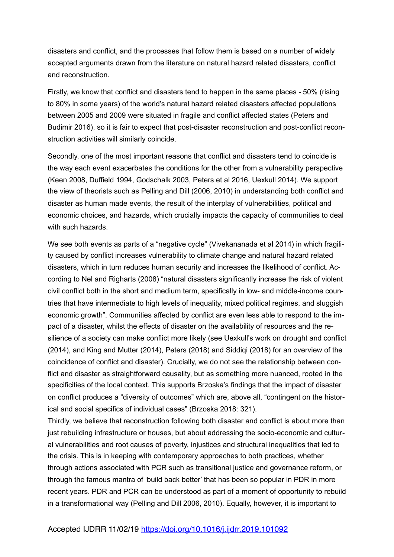disasters and conflict, and the processes that follow them is based on a number of widely accepted arguments drawn from the literature on natural hazard related disasters, conflict and reconstruction.

Firstly, we know that conflict and disasters tend to happen in the same places - 50% (rising to 80% in some years) of the world's natural hazard related disasters affected populations between 2005 and 2009 were situated in fragile and conflict affected states (Peters and Budimir 2016), so it is fair to expect that post-disaster reconstruction and post-conflict reconstruction activities will similarly coincide.

Secondly, one of the most important reasons that conflict and disasters tend to coincide is the way each event exacerbates the conditions for the other from a vulnerability perspective (Keen 2008, Duffield 1994, Godschalk 2003, Peters et al 2016, Uexkull 2014). We support the view of theorists such as Pelling and Dill (2006, 2010) in understanding both conflict and disaster as human made events, the result of the interplay of vulnerabilities, political and economic choices, and hazards, which crucially impacts the capacity of communities to deal with such hazards.

We see both events as parts of a "negative cycle" (Vivekananada et al 2014) in which fragility caused by conflict increases vulnerability to climate change and natural hazard related disasters, which in turn reduces human security and increases the likelihood of conflict. According to Nel and Righarts (2008) "natural disasters significantly increase the risk of violent civil conflict both in the short and medium term, specifically in low- and middle-income countries that have intermediate to high levels of inequality, mixed political regimes, and sluggish economic growth". Communities affected by conflict are even less able to respond to the impact of a disaster, whilst the effects of disaster on the availability of resources and the resilience of a society can make conflict more likely (see Uexkull's work on drought and conflict (2014), and King and Mutter (2014), Peters (2018) and Siddiqi (2018) for an overview of the coincidence of conflict and disaster). Crucially, we do not see the relationship between conflict and disaster as straightforward causality, but as something more nuanced, rooted in the specificities of the local context. This supports Brzoska's findings that the impact of disaster on conflict produces a "diversity of outcomes" which are, above all, "contingent on the historical and social specifics of individual cases" (Brzoska 2018: 321).

Thirdly, we believe that reconstruction following both disaster and conflict is about more than just rebuilding infrastructure or houses, but about addressing the socio-economic and cultural vulnerabilities and root causes of poverty, injustices and structural inequalities that led to the crisis. This is in keeping with contemporary approaches to both practices, whether through actions associated with PCR such as transitional justice and governance reform, or through the famous mantra of 'build back better' that has been so popular in PDR in more recent years. PDR and PCR can be understood as part of a moment of opportunity to rebuild in a transformational way (Pelling and Dill 2006, 2010). Equally, however, it is important to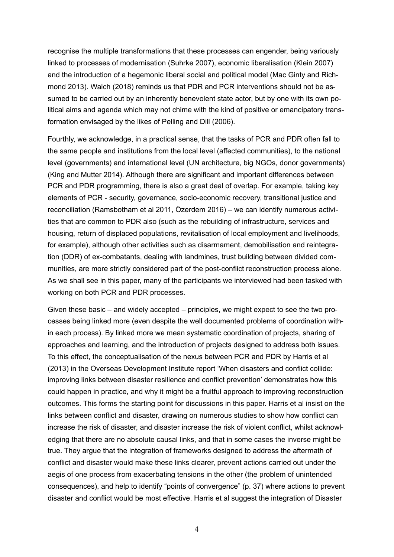recognise the multiple transformations that these processes can engender, being variously linked to processes of modernisation (Suhrke 2007), economic liberalisation (Klein 2007) and the introduction of a hegemonic liberal social and political model (Mac Ginty and Richmond 2013). Walch (2018) reminds us that PDR and PCR interventions should not be assumed to be carried out by an inherently benevolent state actor, but by one with its own political aims and agenda which may not chime with the kind of positive or emancipatory transformation envisaged by the likes of Pelling and Dill (2006).

Fourthly, we acknowledge, in a practical sense, that the tasks of PCR and PDR often fall to the same people and institutions from the local level (affected communities), to the national level (governments) and international level (UN architecture, big NGOs, donor governments) (King and Mutter 2014). Although there are significant and important differences between PCR and PDR programming, there is also a great deal of overlap. For example, taking key elements of PCR - security, governance, socio-economic recovery, transitional justice and reconciliation (Ramsbotham et al 2011, Özerdem 2016) – we can identify numerous activities that are common to PDR also (such as the rebuilding of infrastructure, services and housing, return of displaced populations, revitalisation of local employment and livelihoods, for example), although other activities such as disarmament, demobilisation and reintegration (DDR) of ex-combatants, dealing with landmines, trust building between divided communities, are more strictly considered part of the post-conflict reconstruction process alone. As we shall see in this paper, many of the participants we interviewed had been tasked with working on both PCR and PDR processes.

Given these basic – and widely accepted – principles, we might expect to see the two processes being linked more (even despite the well documented problems of coordination within each process). By linked more we mean systematic coordination of projects, sharing of approaches and learning, and the introduction of projects designed to address both issues. To this effect, the conceptualisation of the nexus between PCR and PDR by Harris et al (2013) in the Overseas Development Institute report 'When disasters and conflict collide: improving links between disaster resilience and conflict prevention' demonstrates how this could happen in practice, and why it might be a fruitful approach to improving reconstruction outcomes. This forms the starting point for discussions in this paper. Harris et al insist on the links between conflict and disaster, drawing on numerous studies to show how conflict can increase the risk of disaster, and disaster increase the risk of violent conflict, whilst acknowledging that there are no absolute causal links, and that in some cases the inverse might be true. They argue that the integration of frameworks designed to address the aftermath of conflict and disaster would make these links clearer, prevent actions carried out under the aegis of one process from exacerbating tensions in the other (the problem of unintended consequences), and help to identify "points of convergence" (p. 37) where actions to prevent disaster and conflict would be most effective. Harris et al suggest the integration of Disaster

4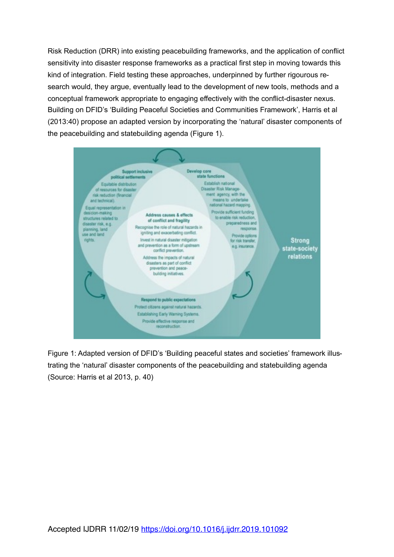Risk Reduction (DRR) into existing peacebuilding frameworks, and the application of conflict sensitivity into disaster response frameworks as a practical first step in moving towards this kind of integration. Field testing these approaches, underpinned by further rigourous research would, they argue, eventually lead to the development of new tools, methods and a conceptual framework appropriate to engaging effectively with the conflict-disaster nexus. Building on DFID's 'Building Peaceful Societies and Communities Framework', Harris et al (2013:40) propose an adapted version by incorporating the 'natural' disaster components of the peacebuilding and statebuilding agenda (Figure 1).



Figure 1: Adapted version of DFID's 'Building peaceful states and societies' framework illustrating the 'natural' disaster components of the peacebuilding and statebuilding agenda (Source: Harris et al 2013, p. 40)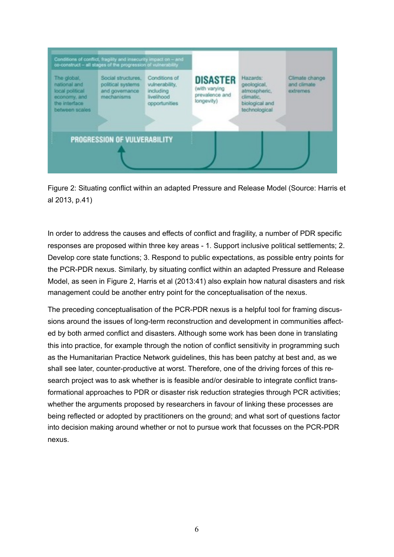

Figure 2: Situating conflict within an adapted Pressure and Release Model (Source: Harris et al 2013, p.41)

In order to address the causes and effects of conflict and fragility, a number of PDR specific responses are proposed within three key areas - 1. Support inclusive political settlements; 2. Develop core state functions; 3. Respond to public expectations, as possible entry points for the PCR-PDR nexus. Similarly, by situating conflict within an adapted Pressure and Release Model, as seen in Figure 2, Harris et al (2013:41) also explain how natural disasters and risk management could be another entry point for the conceptualisation of the nexus.

The preceding conceptualisation of the PCR-PDR nexus is a helpful tool for framing discussions around the issues of long-term reconstruction and development in communities affected by both armed conflict and disasters. Although some work has been done in translating this into practice, for example through the notion of conflict sensitivity in programming such as the Humanitarian Practice Network guidelines, this has been patchy at best and, as we shall see later, counter-productive at worst. Therefore, one of the driving forces of this research project was to ask whether is is feasible and/or desirable to integrate conflict transformational approaches to PDR or disaster risk reduction strategies through PCR activities; whether the arguments proposed by researchers in favour of linking these processes are being reflected or adopted by practitioners on the ground; and what sort of questions factor into decision making around whether or not to pursue work that focusses on the PCR-PDR nexus.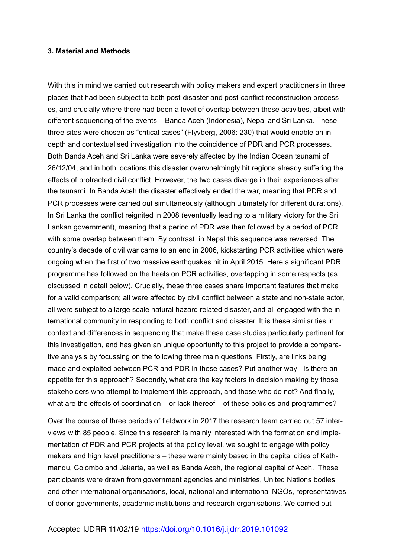## **3. Material and Methods**

With this in mind we carried out research with policy makers and expert practitioners in three places that had been subject to both post-disaster and post-conflict reconstruction processes, and crucially where there had been a level of overlap between these activities, albeit with different sequencing of the events – Banda Aceh (Indonesia), Nepal and Sri Lanka. These three sites were chosen as "critical cases" (Flyvberg, 2006: 230) that would enable an indepth and contextualised investigation into the coincidence of PDR and PCR processes. Both Banda Aceh and Sri Lanka were severely affected by the Indian Ocean tsunami of 26/12/04, and in both locations this disaster overwhelmingly hit regions already suffering the effects of protracted civil conflict. However, the two cases diverge in their experiences after the tsunami. In Banda Aceh the disaster effectively ended the war, meaning that PDR and PCR processes were carried out simultaneously (although ultimately for different durations). In Sri Lanka the conflict reignited in 2008 (eventually leading to a military victory for the Sri Lankan government), meaning that a period of PDR was then followed by a period of PCR, with some overlap between them. By contrast, in Nepal this sequence was reversed. The country's decade of civil war came to an end in 2006, kickstarting PCR activities which were ongoing when the first of two massive earthquakes hit in April 2015. Here a significant PDR programme has followed on the heels on PCR activities, overlapping in some respects (as discussed in detail below). Crucially, these three cases share important features that make for a valid comparison; all were affected by civil conflict between a state and non-state actor, all were subject to a large scale natural hazard related disaster, and all engaged with the international community in responding to both conflict and disaster. It is these similarities in context and differences in sequencing that make these case studies particularly pertinent for this investigation, and has given an unique opportunity to this project to provide a comparative analysis by focussing on the following three main questions: Firstly, are links being made and exploited between PCR and PDR in these cases? Put another way - is there an appetite for this approach? Secondly, what are the key factors in decision making by those stakeholders who attempt to implement this approach, and those who do not? And finally, what are the effects of coordination – or lack thereof – of these policies and programmes?

Over the course of three periods of fieldwork in 2017 the research team carried out 57 interviews with 85 people. Since this research is mainly interested with the formation and implementation of PDR and PCR projects at the policy level, we sought to engage with policy makers and high level practitioners – these were mainly based in the capital cities of Kathmandu, Colombo and Jakarta, as well as Banda Aceh, the regional capital of Aceh. These participants were drawn from government agencies and ministries, United Nations bodies and other international organisations, local, national and international NGOs, representatives of donor governments, academic institutions and research organisations. We carried out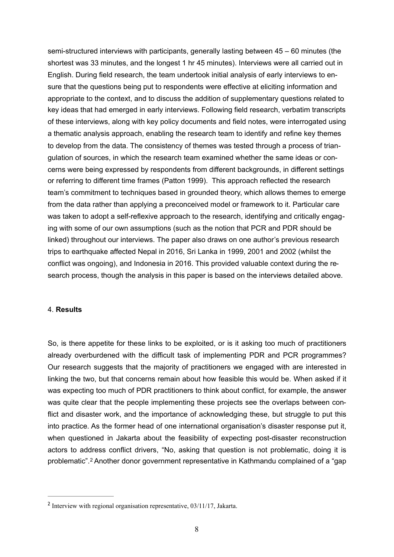semi-structured interviews with participants, generally lasting between 45 – 60 minutes (the shortest was 33 minutes, and the longest 1 hr 45 minutes). Interviews were all carried out in English. During field research, the team undertook initial analysis of early interviews to ensure that the questions being put to respondents were effective at eliciting information and appropriate to the context, and to discuss the addition of supplementary questions related to key ideas that had emerged in early interviews. Following field research, verbatim transcripts of these interviews, along with key policy documents and field notes, were interrogated using a thematic analysis approach, enabling the research team to identify and refine key themes to develop from the data. The consistency of themes was tested through a process of triangulation of sources, in which the research team examined whether the same ideas or concerns were being expressed by respondents from different backgrounds, in different settings or referring to different time frames (Patton 1999). This approach reflected the research team's commitment to techniques based in grounded theory, which allows themes to emerge from the data rather than applying a preconceived model or framework to it. Particular care was taken to adopt a self-reflexive approach to the research, identifying and critically engaging with some of our own assumptions (such as the notion that PCR and PDR should be linked) throughout our interviews. The paper also draws on one author's previous research trips to earthquake affected Nepal in 2016, Sri Lanka in 1999, 2001 and 2002 (whilst the conflict was ongoing), and Indonesia in 2016. This provided valuable context during the research process, though the analysis in this paper is based on the interviews detailed above.

#### 4. **Results**

So, is there appetite for these links to be exploited, or is it asking too much of practitioners already overburdened with the difficult task of implementing PDR and PCR programmes? Our research suggests that the majority of practitioners we engaged with are interested in linking the two, but that concerns remain about how feasible this would be. When asked if it was expecting too much of PDR practitioners to think about conflict, for example, the answer was quite clear that the people implementing these projects see the overlaps between conflict and disaster work, and the importance of acknowledging these, but struggle to put this into practice. As the former head of one international organisation's disaster response put it, when questioned in Jakarta about the feasibility of expecting post-disaster reconstruction actors to address conflict drivers, "No, asking that question is not problematic, doing it is problematic".<sup>2</sup>Another donor government representative in Kathmandu complained of a "gap

<span id="page-7-1"></span><span id="page-7-0"></span><sup>&</sup>lt;sup>[2](#page-7-1)</sup> Interview with regional organisation representative,  $03/11/17$ , Jakarta.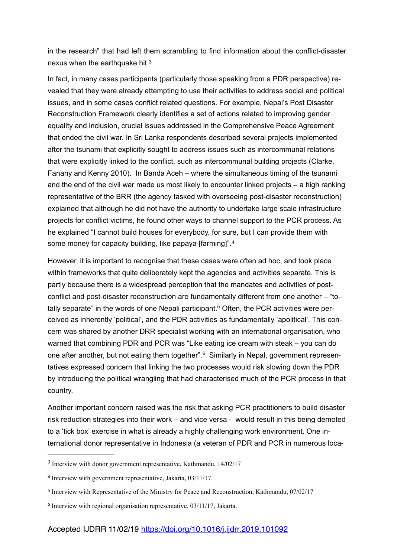in the research" that had left them scrambling to find information about the conflict-disaster nexus when the earthquake hit. $3$ 

<span id="page-8-4"></span>In fact, in many cases participants (particularly those speaking from a PDR perspective) revealed that they were already attempting to use their activities to address social and political issues, and in some cases conflict related questions. For example, Nepal's Post Disaster Reconstruction Framework clearly identifies a set of actions related to improving gender equality and inclusion, crucial issues addressed in the Comprehensive Peace Agreement that ended the civil war. In Sri Lanka respondents described several projects implemented after the tsunami that explicitly sought to address issues such as intercommunal relations that were explicitly linked to the conflict, such as intercommunal building projects (Clarke, Fanany and Kenny 2010). In Banda Aceh – where the simultaneous timing of the tsunami and the end of the civil war made us most likely to encounter linked projects – a high ranking representative of the BRR (the agency tasked with overseeing post-disaster reconstruction) explained that although he did not have the authority to undertake large scale infrastructure projects for conflict victims, he found other ways to channel support to the PCR process. As he explained "I cannot build houses for everybody, for sure, but I can provide them with some money for capacity building, like papaya [farming]".<sup>4</sup>

<span id="page-8-6"></span><span id="page-8-5"></span>However, it is important to recognise that these cases were often ad hoc, and took place within frameworks that quite deliberately kept the agencies and activities separate. This is partly because there is a widespread perception that the mandates and activities of postconflict and post-disaster reconstruction are fundamentally different from one another – "to-tally separate" in the words of one Nepali participant[.](#page-8-2)<sup>5</sup> Often, the PCR activities were perceived as inherently 'political', and the PDR activities as fundamentally 'apolitical'. This concern was shared by another DRR specialist working with an international organisation, who warned that combining PDR and PCR was "Like eating ice cream with steak – you can do oneafter another, but not eating them together".<sup>6</sup> Similarly in Nepal, government representatives expressed concern that linking the two processes would risk slowing down the PDR by introducing the political wrangling that had characterised much of the PCR process in that country.

<span id="page-8-7"></span>Another important concern raised was the risk that asking PCR practitioners to build disaster risk reduction strategies into their work – and vice versa - would result in this being demoted to a 'tick box' exercise in what is already a highly challenging work environment. One international donor representative in Indonesia (a veteran of PDR and PCR in numerous loca-

<span id="page-8-0"></span> $3$  Interview with donor government representative, Kathmandu,  $14/02/17$ 

<span id="page-8-1"></span><sup>&</sup>lt;sup>[4](#page-8-5)</sup> Interview with government representative, Jakarta, 03/11/17.

<span id="page-8-2"></span><sup>&</sup>lt;sup>[5](#page-8-6)</sup> Interview with Representative of the Ministry for Peace and Reconstruction, Kathmandu, 07/02/17

<span id="page-8-3"></span> $6$  Interview with regional organisation representative, 03/11/17, Jakarta.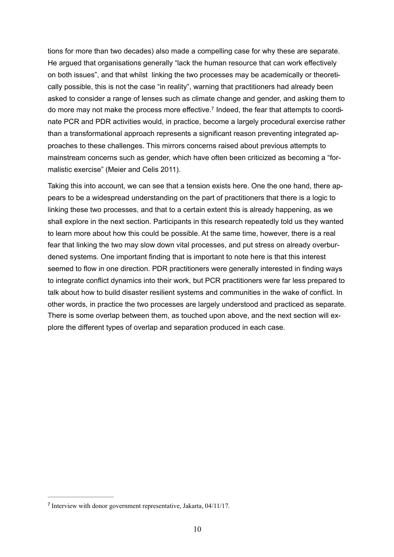<span id="page-9-1"></span>tions for more than two decades) also made a compelling case for why these are separate. He argued that organisations generally "lack the human resource that can work effectively on both issues", and that whilst linking the two processes may be academically or theoretically possible, this is not the case "in reality", warning that practitioners had already been asked to consider a range of lenses such as climate change and gender, and asking them to do more may not make the process more effective.<sup>7</sup> Indeed, the fear that attempts to coordinate PCR and PDR activities would, in practice, become a largely procedural exercise rather than a transformational approach represents a significant reason preventing integrated approaches to these challenges. This mirrors concerns raised about previous attempts to mainstream concerns such as gender, which have often been criticized as becoming a "formalistic exercise" (Meier and Celis 2011).

Taking this into account, we can see that a tension exists here. One the one hand, there appears to be a widespread understanding on the part of practitioners that there is a logic to linking these two processes, and that to a certain extent this is already happening, as we shall explore in the next section. Participants in this research repeatedly told us they wanted to learn more about how this could be possible. At the same time, however, there is a real fear that linking the two may slow down vital processes, and put stress on already overburdened systems. One important finding that is important to note here is that this interest seemed to flow in one direction. PDR practitioners were generally interested in finding ways to integrate conflict dynamics into their work, but PCR practitioners were far less prepared to talk about how to build disaster resilient systems and communities in the wake of conflict. In other words, in practice the two processes are largely understood and practiced as separate. There is some overlap between them, as touched upon above, and the next section will explore the different types of overlap and separation produced in each case.

<span id="page-9-0"></span> $\frac{1}{7}$  $\frac{1}{7}$  $\frac{1}{7}$  Interview with donor government representative, Jakarta, 04/11/17.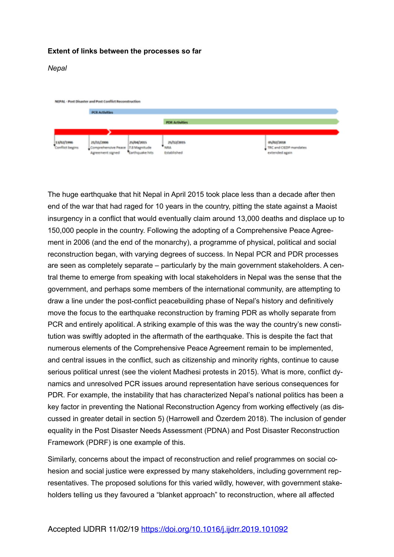# **Extent of links between the processes so far**

#### *Nepal*



The huge earthquake that hit Nepal in April 2015 took place less than a decade after then end of the war that had raged for 10 years in the country, pitting the state against a Maoist insurgency in a conflict that would eventually claim around 13,000 deaths and displace up to 150,000 people in the country. Following the adopting of a Comprehensive Peace Agreement in 2006 (and the end of the monarchy), a programme of physical, political and social reconstruction began, with varying degrees of success. In Nepal PCR and PDR processes are seen as completely separate – particularly by the main government stakeholders. A central theme to emerge from speaking with local stakeholders in Nepal was the sense that the government, and perhaps some members of the international community, are attempting to draw a line under the post-conflict peacebuilding phase of Nepal's history and definitively move the focus to the earthquake reconstruction by framing PDR as wholly separate from PCR and entirely apolitical. A striking example of this was the way the country's new constitution was swiftly adopted in the aftermath of the earthquake. This is despite the fact that numerous elements of the Comprehensive Peace Agreement remain to be implemented, and central issues in the conflict, such as citizenship and minority rights, continue to cause serious political unrest (see the violent Madhesi protests in 2015). What is more, conflict dynamics and unresolved PCR issues around representation have serious consequences for PDR. For example, the instability that has characterized Nepal's national politics has been a key factor in preventing the National Reconstruction Agency from working effectively (as discussed in greater detail in section 5) (Harrowell and Özerdem 2018). The inclusion of gender equality in the Post Disaster Needs Assessment (PDNA) and Post Disaster Reconstruction Framework (PDRF) is one example of this.

Similarly, concerns about the impact of reconstruction and relief programmes on social cohesion and social justice were expressed by many stakeholders, including government representatives. The proposed solutions for this varied wildly, however, with government stakeholders telling us they favoured a "blanket approach" to reconstruction, where all affected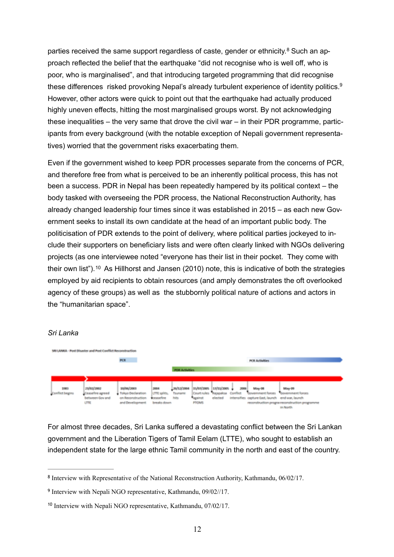<span id="page-11-4"></span><span id="page-11-3"></span>parties received the same support regardless of caste, gender or ethnicity.<sup>8</sup> Such an approach reflected the belief that the earthquake "did not recognise who is well off, who is poor, who is marginalised", and that introducing targeted programming that did recognise these differences risked provoking Nepal's already turbulent experience of identity politics.<sup>9</sup> However, other actors were quick to point out that the earthquake had actually produced highly uneven effects, hitting the most marginalised groups worst. By not acknowledging these inequalities – the very same that drove the civil war – in their PDR programme, participants from every background (with the notable exception of Nepali government representatives) worried that the government risks exacerbating them.

Even if the government wished to keep PDR processes separate from the concerns of PCR, and therefore free from what is perceived to be an inherently political process, this has not been a success. PDR in Nepal has been repeatedly hampered by its political context – the body tasked with overseeing the PDR process, the National Reconstruction Authority, has already changed leadership four times since it was established in 2015 – as each new Government seeks to install its own candidate at the head of an important public body. The politicisation of PDR extends to the point of delivery, where political parties jockeyed to include their supporters on beneficiary lists and were often clearly linked with NGOs delivering projects (as one interviewee noted "everyone has their list in their pocket. They come with theirown list"). <sup>[10](#page-11-2)</sup> As Hillhorst and Jansen (2010) note, this is indicative of both the strategies employed by aid recipients to obtain resources (and amply demonstrates the oft overlooked agency of these groups) as well as the stubbornly political nature of actions and actors in the "humanitarian space".

#### <span id="page-11-5"></span>*Sri Lanka*

| SRI LANKA - Post Disaster and Post Conflict Reconstruction |                                                                   |                                                                         |                                                          |                                |                                                                                              |  |      |                                                                                                           |                                                                      |
|------------------------------------------------------------|-------------------------------------------------------------------|-------------------------------------------------------------------------|----------------------------------------------------------|--------------------------------|----------------------------------------------------------------------------------------------|--|------|-----------------------------------------------------------------------------------------------------------|----------------------------------------------------------------------|
|                                                            |                                                                   | PO <sub>1</sub>                                                         |                                                          |                                |                                                                                              |  |      | <b>PCR Activities</b>                                                                                     |                                                                      |
| <b>POR Artivities</b>                                      |                                                                   |                                                                         |                                                          |                                |                                                                                              |  |      |                                                                                                           |                                                                      |
|                                                            |                                                                   |                                                                         |                                                          |                                |                                                                                              |  |      |                                                                                                           |                                                                      |
| 2983<br>anflict begins                                     | 25/02/2902<br>Accusefies agreed<br>between Gov and<br><b>LTBE</b> | 10/06/2003<br>Tokyo Declaration<br>on Reconstruction<br>and Development | 2004<br>LTTE splits.<br><b>Votesching</b><br>breaks down | 26/12/2004<br>Tourvami<br>hits | 35/07/2005 53/33/2005 +<br>Courtrules Rajapaksa Conflict<br><b>Ingainst</b><br><b>PROAIS</b> |  | 2006 | May 08<br>Government forces Government forces<br>elected intensifies capture East, launch end war, launch | May 09<br>reconstruction program toonstruction programme<br>in North |

For almost three decades, Sri Lanka suffered a devastating conflict between the Sri Lankan government and the Liberation Tigers of Tamil Eelam (LTTE), who sought to establish an independent state for the large ethnic Tamil community in the north and east of the country.

<span id="page-11-0"></span><sup>&</sup>lt;sup>[8](#page-11-3)</sup> Interview with Representative of the National Reconstruction Authority, Kathmandu, 06/02/17.

<span id="page-11-1"></span><sup>&</sup>lt;sup>[9](#page-11-4)</sup> Interview with Nepali NGO representative, Kathmandu, 09/02//17.

<span id="page-11-2"></span> $10$  Interview with Nepali NGO representative, Kathmandu,  $07/02/17$ .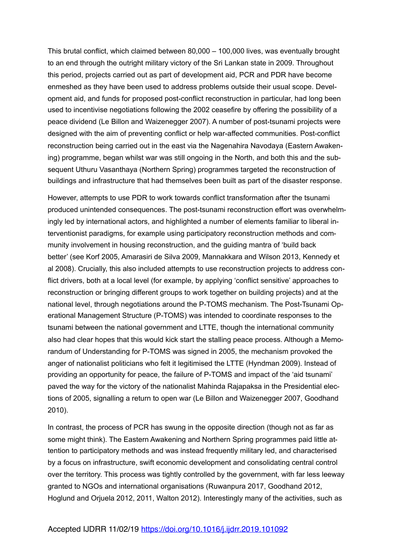This brutal conflict, which claimed between 80,000 – 100,000 lives, was eventually brought to an end through the outright military victory of the Sri Lankan state in 2009. Throughout this period, projects carried out as part of development aid, PCR and PDR have become enmeshed as they have been used to address problems outside their usual scope. Development aid, and funds for proposed post-conflict reconstruction in particular, had long been used to incentivise negotiations following the 2002 ceasefire by offering the possibility of a peace dividend (Le Billon and Waizenegger 2007). A number of post-tsunami projects were designed with the aim of preventing conflict or help war-affected communities. Post-conflict reconstruction being carried out in the east via the Nagenahira Navodaya (Eastern Awakening) programme, began whilst war was still ongoing in the North, and both this and the subsequent Uthuru Vasanthaya (Northern Spring) programmes targeted the reconstruction of buildings and infrastructure that had themselves been built as part of the disaster response.

However, attempts to use PDR to work towards conflict transformation after the tsunami produced unintended consequences. The post-tsunami reconstruction effort was overwhelmingly led by international actors, and highlighted a number of elements familiar to liberal interventionist paradigms, for example using participatory reconstruction methods and community involvement in housing reconstruction, and the guiding mantra of 'build back better' (see Korf 2005, Amarasiri de Silva 2009, Mannakkara and Wilson 2013, Kennedy et al 2008). Crucially, this also included attempts to use reconstruction projects to address conflict drivers, both at a local level (for example, by applying 'conflict sensitive' approaches to reconstruction or bringing different groups to work together on building projects) and at the national level, through negotiations around the P-TOMS mechanism. The Post-Tsunami Operational Management Structure (P-TOMS) was intended to coordinate responses to the tsunami between the national government and LTTE, though the international community also had clear hopes that this would kick start the stalling peace process. Although a Memorandum of Understanding for P-TOMS was signed in 2005, the mechanism provoked the anger of nationalist politicians who felt it legitimised the LTTE (Hyndman 2009). Instead of providing an opportunity for peace, the failure of P-TOMS and impact of the 'aid tsunami' paved the way for the victory of the nationalist Mahinda Rajapaksa in the Presidential elections of 2005, signalling a return to open war (Le Billon and Waizenegger 2007, Goodhand 2010).

In contrast, the process of PCR has swung in the opposite direction (though not as far as some might think). The Eastern Awakening and Northern Spring programmes paid little attention to participatory methods and was instead frequently military led, and characterised by a focus on infrastructure, swift economic development and consolidating central control over the territory. This process was tightly controlled by the government, with far less leeway granted to NGOs and international organisations (Ruwanpura 2017, Goodhand 2012, Hoglund and Orjuela 2012, 2011, Walton 2012). Interestingly many of the activities, such as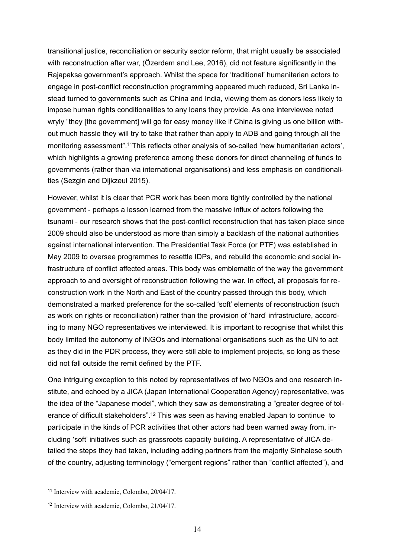transitional justice, reconciliation or security sector reform, that might usually be associated with reconstruction after war, (Özerdem and Lee, 2016), did not feature significantly in the Rajapaksa government's approach. Whilst the space for 'traditional' humanitarian actors to engage in post-conflict reconstruction programming appeared much reduced, Sri Lanka instead turned to governments such as China and India, viewing them as donors less likely to impose human rights conditionalities to any loans they provide. As one interviewee noted wryly "they [the government] will go for easy money like if China is giving us one billion without much hassle they will try to take that rather than apply to ADB and going through all the monitoring assessment".<sup>[11](#page-13-0)</sup>This reflects other analysis of so-called 'new humanitarian actors', which highlights a growing preference among these donors for direct channeling of funds to governments (rather than via international organisations) and less emphasis on conditionalities (Sezgin and Dijkzeul 2015).

<span id="page-13-2"></span>However, whilst it is clear that PCR work has been more tightly controlled by the national government - perhaps a lesson learned from the massive influx of actors following the tsunami - our research shows that the post-conflict reconstruction that has taken place since 2009 should also be understood as more than simply a backlash of the national authorities against international intervention. The Presidential Task Force (or PTF) was established in May 2009 to oversee programmes to resettle IDPs, and rebuild the economic and social infrastructure of conflict affected areas. This body was emblematic of the way the government approach to and oversight of reconstruction following the war. In effect, all proposals for reconstruction work in the North and East of the country passed through this body, which demonstrated a marked preference for the so-called 'soft' elements of reconstruction (such as work on rights or reconciliation) rather than the provision of 'hard' infrastructure, according to many NGO representatives we interviewed. It is important to recognise that whilst this body limited the autonomy of INGOs and international organisations such as the UN to act as they did in the PDR process, they were still able to implement projects, so long as these did not fall outside the remit defined by the PTF.

<span id="page-13-3"></span>One intriguing exception to this noted by representatives of two NGOs and one research institute, and echoed by a JICA (Japan International Cooperation Agency) representative, was the idea of the "Japanese model", which they saw as demonstrating a "greater degree of tol-erance of difficult stakeholders"[.](#page-13-1)<sup>[12](#page-13-1)</sup> This was seen as having enabled Japan to continue to participate in the kinds of PCR activities that other actors had been warned away from, including 'soft' initiatives such as grassroots capacity building. A representative of JICA detailed the steps they had taken, including adding partners from the majority Sinhalese south of the country, adjusting terminology ("emergent regions" rather than "conflict affected"), and

<span id="page-13-0"></span><sup>&</sup>lt;sup>[11](#page-13-2)</sup> Interview with academic, Colombo,  $20/04/17$ .

<span id="page-13-1"></span><sup>&</sup>lt;sup>[12](#page-13-3)</sup> Interview with academic, Colombo,  $21/04/17$ .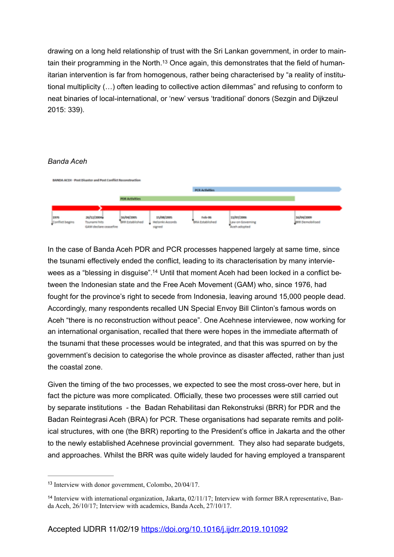<span id="page-14-2"></span>drawing on a long held relationship of trust with the Sri Lankan government, in order to maintain their programming in the North.<sup>13</sup> Once again, this demonstrates that the field of humanitarian intervention is far from homogenous, rather being characterised by "a reality of institutional multiplicity (…) often leading to collective action dilemmas" and refusing to conform to neat binaries of local-international, or 'new' versus 'traditional' donors (Sezgin and Dijkzeul 2015: 339).

## *Banda Aceh*



<span id="page-14-3"></span>In the case of Banda Aceh PDR and PCR processes happened largely at same time, since the tsunami effectively ended the conflict, leading to its characterisation by many interviewees as a "blessing in disguise"[.14](#page-14-1) Until that moment Aceh had been locked in a conflict between the Indonesian state and the Free Aceh Movement (GAM) who, since 1976, had fought for the province's right to secede from Indonesia, leaving around 15,000 people dead. Accordingly, many respondents recalled UN Special Envoy Bill Clinton's famous words on Aceh "there is no reconstruction without peace". One Acehnese interviewee, now working for an international organisation, recalled that there were hopes in the immediate aftermath of the tsunami that these processes would be integrated, and that this was spurred on by the government's decision to categorise the whole province as disaster affected, rather than just the coastal zone.

Given the timing of the two processes, we expected to see the most cross-over here, but in fact the picture was more complicated. Officially, these two processes were still carried out by separate institutions - the Badan Rehabilitasi dan Rekonstruksi (BRR) for PDR and the Badan Reintegrasi Aceh (BRA) for PCR. These organisations had separate remits and political structures, with one (the BRR) reporting to the President's office in Jakarta and the other to the newly established Acehnese provincial government. They also had separate budgets, and approaches. Whilst the BRR was quite widely lauded for having employed a transparent

<span id="page-14-0"></span><sup>&</sup>lt;sup>[13](#page-14-2)</sup> Interview with donor government, Colombo, 20/04/17.

<span id="page-14-1"></span><sup>&</sup>lt;sup>[14](#page-14-3)</sup> Interview with international organization, Jakarta,  $02/11/17$ ; Interview with former BRA representative, Banda Aceh, 26/10/17; Interview with academics, Banda Aceh, 27/10/17.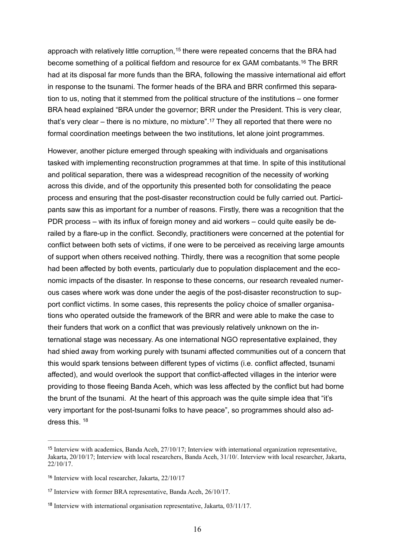<span id="page-15-5"></span><span id="page-15-4"></span>approachwith relatively little corruption,  $15$  there were repeated concerns that the BRA had become something of a political fiefdom and resource for ex GAM combatants[.](#page-15-1)<sup>[16](#page-15-1)</sup> The BRR had at its disposal far more funds than the BRA, following the massive international aid effort in response to the tsunami. The former heads of the BRA and BRR confirmed this separation to us, noting that it stemmed from the political structure of the institutions – one former BRA head explained "BRA under the governor; BRR under the President. This is very clear, that'svery clear – there is no mixture, no mixture".<sup>[17](#page-15-2)</sup> They all reported that there were no formal coordination meetings between the two institutions, let alone joint programmes.

<span id="page-15-6"></span>However, another picture emerged through speaking with individuals and organisations tasked with implementing reconstruction programmes at that time. In spite of this institutional and political separation, there was a widespread recognition of the necessity of working across this divide, and of the opportunity this presented both for consolidating the peace process and ensuring that the post-disaster reconstruction could be fully carried out. Participants saw this as important for a number of reasons. Firstly, there was a recognition that the PDR process – with its influx of foreign money and aid workers – could quite easily be derailed by a flare-up in the conflict. Secondly, practitioners were concerned at the potential for conflict between both sets of victims, if one were to be perceived as receiving large amounts of support when others received nothing. Thirdly, there was a recognition that some people had been affected by both events, particularly due to population displacement and the economic impacts of the disaster. In response to these concerns, our research revealed numerous cases where work was done under the aegis of the post-disaster reconstruction to support conflict victims. In some cases, this represents the policy choice of smaller organisations who operated outside the framework of the BRR and were able to make the case to their funders that work on a conflict that was previously relatively unknown on the international stage was necessary. As one international NGO representative explained, they had shied away from working purely with tsunami affected communities out of a concern that this would spark tensions between different types of victims (i.e. conflict affected, tsunami affected), and would overlook the support that conflict-affected villages in the interior were providing to those fleeing Banda Aceh, which was less affected by the conflict but had borne the brunt of the tsunami. At the heart of this approach was the quite simple idea that "it's very important for the post-tsunami folks to have peace", so programmes should also address this. [18](#page-15-3)

<span id="page-15-7"></span><span id="page-15-0"></span><sup>&</sup>lt;sup>[15](#page-15-4)</sup> Interview with academics, Banda Aceh, 27/10/17; Interview with international organization representative, Jakarta, 20/10/17; Interview with local researchers, Banda Aceh, 31/10/. Interview with local researcher, Jakarta, 22/10/17.

<span id="page-15-1"></span><sup>&</sup>lt;sup>[16](#page-15-5)</sup> Interview with local researcher, Jakarta,  $22/10/17$ 

<span id="page-15-2"></span><sup>&</sup>lt;sup>[17](#page-15-6)</sup> Interview with former BRA representative, Banda Aceh, 26/10/17.

<span id="page-15-3"></span><sup>&</sup>lt;sup>[18](#page-15-7)</sup> Interview with international organisation representative, Jakarta,  $03/11/17$ .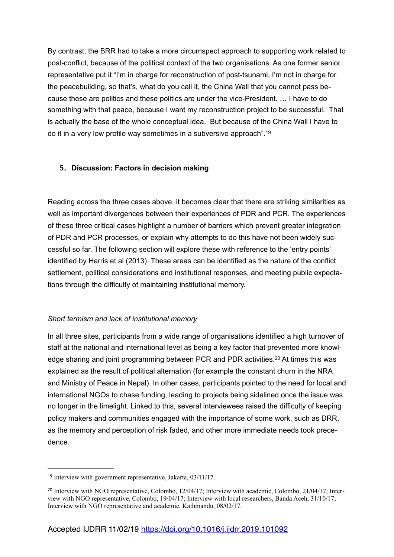By contrast, the BRR had to take a more circumspect approach to supporting work related to post-conflict, because of the political context of the two organisations. As one former senior representative put it "I'm in charge for reconstruction of post-tsunami, I'm not in charge for the peacebuilding, so that's, what do you call it, the China Wall that you cannot pass because these are politics and these politics are under the vice-President. … I have to do something with that peace, because I want my reconstruction project to be successful. That is actually the base of the whole conceptual idea. But because of the China Wall I have to do it in a very low profile way sometimes in a subversive approach".[19](#page-16-0)

# <span id="page-16-2"></span>**5. Discussion: Factors in decision making**

Reading across the three cases above, it becomes clear that there are striking similarities as well as important divergences between their experiences of PDR and PCR. The experiences of these three critical cases highlight a number of barriers which prevent greater integration of PDR and PCR processes, or explain why attempts to do this have not been widely successful so far. The following section will explore these with reference to the 'entry points' identified by Harris et al (2013). These areas can be identified as the nature of the conflict settlement, political considerations and institutional responses, and meeting public expectations through the difficulty of maintaining institutional memory.

## *Short termism and lack of institutional memory*

<span id="page-16-3"></span>In all three sites, participants from a wide range of organisations identified a high turnover of staff at the national and international level as being a key factor that prevented more knowl-edge sharing and joint programming between PCR and PDR activities[.](#page-16-1)<sup>[20](#page-16-1)</sup> At times this was explained as the result of political alternation (for example the constant churn in the NRA and Ministry of Peace in Nepal). In other cases, participants pointed to the need for local and international NGOs to chase funding, leading to projects being sidelined once the issue was no longer in the limelight. Linked to this, several interviewees raised the difficulty of keeping policy makers and communities engaged with the importance of some work, such as DRR, as the memory and perception of risk faded, and other more immediate needs took precedence.

<span id="page-16-0"></span><sup>&</sup>lt;sup>[19](#page-16-2)</sup> Interview with government representative, Jakarta,  $03/11/17$ .

<span id="page-16-1"></span><sup>&</sup>lt;sup>[20](#page-16-3)</sup> Interview with NGO representative, Colombo, 12/04/17; Interview with academic, Colombo, 21/04/17; Interview with NGO representative, Colombo, 19/04/17; Interview with local researchers, Banda Aceh, 31/10/17; Interview with NGO representative and academic, Kathmandu, 08/02/17.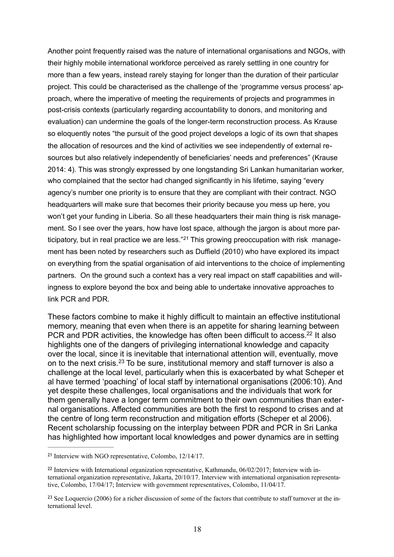Another point frequently raised was the nature of international organisations and NGOs, with their highly mobile international workforce perceived as rarely settling in one country for more than a few years, instead rarely staying for longer than the duration of their particular project. This could be characterised as the challenge of the 'programme versus process' approach, where the imperative of meeting the requirements of projects and programmes in post-crisis contexts (particularly regarding accountability to donors, and monitoring and evaluation) can undermine the goals of the longer-term reconstruction process. As Krause so eloquently notes "the pursuit of the good project develops a logic of its own that shapes the allocation of resources and the kind of activities we see independently of external resources but also relatively independently of beneficiaries' needs and preferences" (Krause 2014: 4). This was strongly expressed by one longstanding Sri Lankan humanitarian worker, who complained that the sector had changed significantly in his lifetime, saying "every agency's number one priority is to ensure that they are compliant with their contract. NGO headquarters will make sure that becomes their priority because you mess up here, you won't get your funding in Liberia. So all these headquarters their main thing is risk management. So I see over the years, how have lost space, although the jargon is about more participatory, but in real practice we are less."<sup>21</sup> This growing preoccupation with risk management has been noted by researchers such as Duffield (2010) who have explored its impact on everything from the spatial organisation of aid interventions to the choice of implementing partners. On the ground such a context has a very real impact on staff capabilities and willingness to explore beyond the box and being able to undertake innovative approaches to link PCR and PDR.

<span id="page-17-5"></span><span id="page-17-4"></span><span id="page-17-3"></span>These factors combine to make it highly difficult to maintain an effective institutional memory, meaning that even when there is an appetite for sharing learning between PCR and PDR activities, the knowledge has often been difficult to access[.](#page-17-1)<sup>[22](#page-17-1)</sup> It also highlights one of the dangers of privileging international knowledge and capacity over the local, since it is inevitable that international attention will, eventually, move on to the next crisis.<sup>[23](#page-17-2)</sup> To be sure, institutional memory and staff turnover is also a challenge at the local level, particularly when this is exacerbated by what Scheper et al have termed 'poaching' of local staff by international organisations (2006:10). And yet despite these challenges, local organisations and the individuals that work for them generally have a longer term commitment to their own communities than external organisations. Affected communities are both the first to respond to crises and at the centre of long term reconstruction and mitigation efforts (Scheper et al 2006). Recent scholarship focussing on the interplay between PDR and PCR in Sri Lanka has highlighted how important local knowledges and power dynamics are in setting

<span id="page-17-0"></span><sup>&</sup>lt;sup>[21](#page-17-3)</sup> Interview with NGO representative, Colombo,  $12/14/17$ .

<span id="page-17-1"></span> $^{22}$  $^{22}$  $^{22}$  Interview with International organization representative, Kathmandu,  $06/02/2017$ ; Interview with international organization representative, Jakarta, 20/10/17. Interview with international organisation representative, Colombo, 17/04/17; Interview with government representatives, Colombo, 11/04/17.

<span id="page-17-2"></span><sup>&</sup>lt;sup>[23](#page-17-5)</sup> See Loquercio (2006) for a richer discussion of some of the factors that contribute to staff turnover at the international level.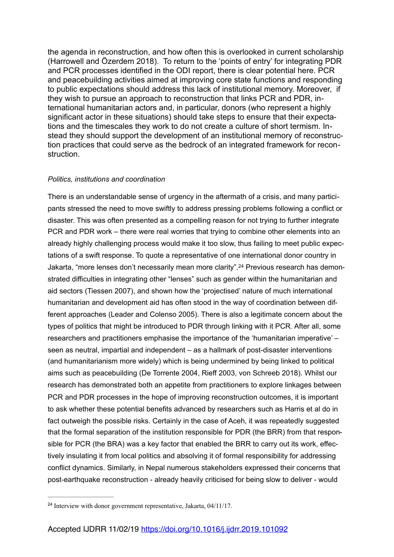the agenda in reconstruction, and how often this is overlooked in current scholarship (Harrowell and Özerdem 2018). To return to the 'points of entry' for integrating PDR and PCR processes identified in the ODI report, there is clear potential here. PCR and peacebuilding activities aimed at improving core state functions and responding to public expectations should address this lack of institutional memory. Moreover, if they wish to pursue an approach to reconstruction that links PCR and PDR, international humanitarian actors and, in particular, donors (who represent a highly significant actor in these situations) should take steps to ensure that their expectations and the timescales they work to do not create a culture of short termism. Instead they should support the development of an institutional memory of reconstruction practices that could serve as the bedrock of an integrated framework for reconstruction.

## *Politics, institutions and coordination*

<span id="page-18-1"></span>There is an understandable sense of urgency in the aftermath of a crisis, and many participants stressed the need to move swiftly to address pressing problems following a conflict or disaster. This was often presented as a compelling reason for not trying to further integrate PCR and PDR work – there were real worries that trying to combine other elements into an already highly challenging process would make it too slow, thus failing to meet public expectations of a swift response. To quote a representative of one international donor country in Jakarta, "more lenses don't necessarily mean more clarity".[24](#page-18-0) Previous research has demonstrated difficulties in integrating other "lenses" such as gender within the humanitarian and aid sectors (Tiessen 2007), and shown how the 'projectised' nature of much international humanitarian and development aid has often stood in the way of coordination between different approaches (Leader and Colenso 2005). There is also a legitimate concern about the types of politics that might be introduced to PDR through linking with it PCR. After all, some researchers and practitioners emphasise the importance of the 'humanitarian imperative' – seen as neutral, impartial and independent – as a hallmark of post-disaster interventions (and humanitarianism more widely) which is being undermined by being linked to political aims such as peacebuilding (De Torrente 2004, Rieff 2003, von Schreeb 2018). Whilst our research has demonstrated both an appetite from practitioners to explore linkages between PCR and PDR processes in the hope of improving reconstruction outcomes, it is important to ask whether these potential benefits advanced by researchers such as Harris et al do in fact outweigh the possible risks. Certainly in the case of Aceh, it was repeatedly suggested that the formal separation of the institution responsible for PDR (the BRR) from that responsible for PCR (the BRA) was a key factor that enabled the BRR to carry out its work, effectively insulating it from local politics and absolving it of formal responsibility for addressing conflict dynamics. Similarly, in Nepal numerous stakeholders expressed their concerns that post-earthquake reconstruction - already heavily criticised for being slow to deliver - would

<span id="page-18-0"></span><sup>&</sup>lt;sup>[24](#page-18-1)</sup> Interview with donor government representative, Jakarta,  $04/11/17$ .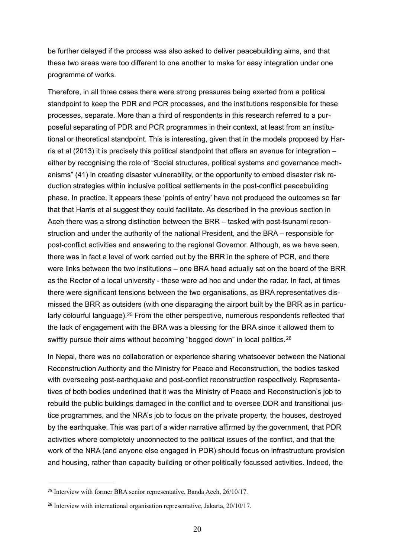be further delayed if the process was also asked to deliver peacebuilding aims, and that these two areas were too different to one another to make for easy integration under one programme of works.

Therefore, in all three cases there were strong pressures being exerted from a political standpoint to keep the PDR and PCR processes, and the institutions responsible for these processes, separate. More than a third of respondents in this research referred to a purposeful separating of PDR and PCR programmes in their context, at least from an institutional or theoretical standpoint. This is interesting, given that in the models proposed by Harris et al (2013) it is precisely this political standpoint that offers an avenue for integration – either by recognising the role of "Social structures, political systems and governance mechanisms" (41) in creating disaster vulnerability, or the opportunity to embed disaster risk reduction strategies within inclusive political settlements in the post-conflict peacebuilding phase. In practice, it appears these 'points of entry' have not produced the outcomes so far that that Harris et al suggest they could facilitate. As described in the previous section in Aceh there was a strong distinction between the BRR – tasked with post-tsunami reconstruction and under the authority of the national President, and the BRA – responsible for post-conflict activities and answering to the regional Governor. Although, as we have seen, there was in fact a level of work carried out by the BRR in the sphere of PCR, and there were links between the two institutions – one BRA head actually sat on the board of the BRR as the Rector of a local university - these were ad hoc and under the radar. In fact, at times there were significant tensions between the two organisations, as BRA representatives dismissed the BRR as outsiders (with one disparaging the airport built by the BRR as in particu-larly colourful language).<sup>[25](#page-19-0)</sup> From the other perspective, numerous respondents reflected that the lack of engagement with the BRA was a blessing for the BRA since it allowed them to swiftly pursue their aims without becoming "bogged down" in local politics.<sup>[26](#page-19-1)</sup>

<span id="page-19-3"></span><span id="page-19-2"></span>In Nepal, there was no collaboration or experience sharing whatsoever between the National Reconstruction Authority and the Ministry for Peace and Reconstruction, the bodies tasked with overseeing post-earthquake and post-conflict reconstruction respectively. Representatives of both bodies underlined that it was the Ministry of Peace and Reconstruction's job to rebuild the public buildings damaged in the conflict and to oversee DDR and transitional justice programmes, and the NRA's job to focus on the private property, the houses, destroyed by the earthquake. This was part of a wider narrative affirmed by the government, that PDR activities where completely unconnected to the political issues of the conflict, and that the work of the NRA (and anyone else engaged in PDR) should focus on infrastructure provision and housing, rather than capacity building or other politically focussed activities. Indeed, the

<span id="page-19-0"></span> $25$  Interview with former BRA senior representative, Banda Aceh,  $26/10/17$ .

<span id="page-19-1"></span><sup>&</sup>lt;sup>[26](#page-19-3)</sup> Interview with international organisation representative, Jakarta,  $20/10/17$ .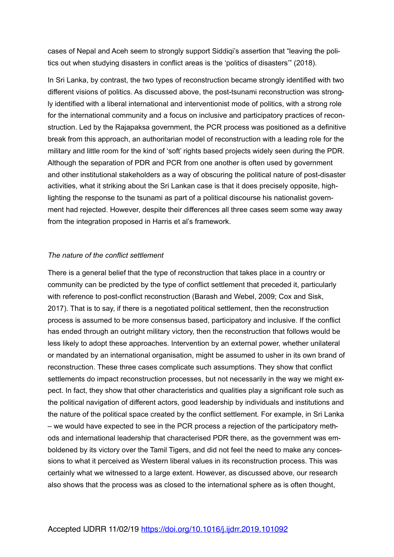cases of Nepal and Aceh seem to strongly support Siddiqi's assertion that "leaving the politics out when studying disasters in conflict areas is the 'politics of disasters'" (2018).

In Sri Lanka, by contrast, the two types of reconstruction became strongly identified with two different visions of politics. As discussed above, the post-tsunami reconstruction was strongly identified with a liberal international and interventionist mode of politics, with a strong role for the international community and a focus on inclusive and participatory practices of reconstruction. Led by the Rajapaksa government, the PCR process was positioned as a definitive break from this approach, an authoritarian model of reconstruction with a leading role for the military and little room for the kind of 'soft' rights based projects widely seen during the PDR. Although the separation of PDR and PCR from one another is often used by government and other institutional stakeholders as a way of obscuring the political nature of post-disaster activities, what it striking about the Sri Lankan case is that it does precisely opposite, highlighting the response to the tsunami as part of a political discourse his nationalist government had rejected. However, despite their differences all three cases seem some way away from the integration proposed in Harris et al's framework.

## *The nature of the conflict settlement*

There is a general belief that the type of reconstruction that takes place in a country or community can be predicted by the type of conflict settlement that preceded it, particularly with reference to post-conflict reconstruction (Barash and Webel, 2009; Cox and Sisk, 2017). That is to say, if there is a negotiated political settlement, then the reconstruction process is assumed to be more consensus based, participatory and inclusive. If the conflict has ended through an outright military victory, then the reconstruction that follows would be less likely to adopt these approaches. Intervention by an external power, whether unilateral or mandated by an international organisation, might be assumed to usher in its own brand of reconstruction. These three cases complicate such assumptions. They show that conflict settlements do impact reconstruction processes, but not necessarily in the way we might expect. In fact, they show that other characteristics and qualities play a significant role such as the political navigation of different actors, good leadership by individuals and institutions and the nature of the political space created by the conflict settlement. For example, in Sri Lanka – we would have expected to see in the PCR process a rejection of the participatory methods and international leadership that characterised PDR there, as the government was emboldened by its victory over the Tamil Tigers, and did not feel the need to make any concessions to what it perceived as Western liberal values in its reconstruction process. This was certainly what we witnessed to a large extent. However, as discussed above, our research also shows that the process was as closed to the international sphere as is often thought,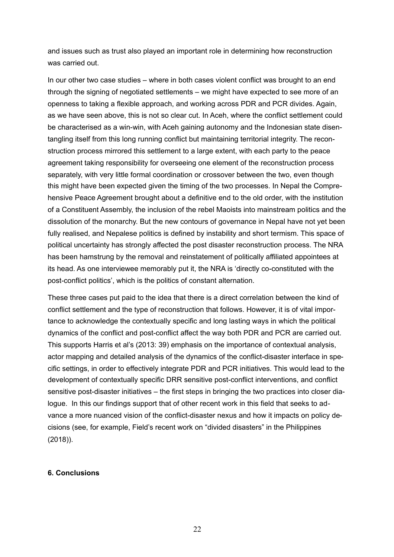and issues such as trust also played an important role in determining how reconstruction was carried out.

In our other two case studies – where in both cases violent conflict was brought to an end through the signing of negotiated settlements – we might have expected to see more of an openness to taking a flexible approach, and working across PDR and PCR divides. Again, as we have seen above, this is not so clear cut. In Aceh, where the conflict settlement could be characterised as a win-win, with Aceh gaining autonomy and the Indonesian state disentangling itself from this long running conflict but maintaining territorial integrity. The reconstruction process mirrored this settlement to a large extent, with each party to the peace agreement taking responsibility for overseeing one element of the reconstruction process separately, with very little formal coordination or crossover between the two, even though this might have been expected given the timing of the two processes. In Nepal the Comprehensive Peace Agreement brought about a definitive end to the old order, with the institution of a Constituent Assembly, the inclusion of the rebel Maoists into mainstream politics and the dissolution of the monarchy. But the new contours of governance in Nepal have not yet been fully realised, and Nepalese politics is defined by instability and short termism. This space of political uncertainty has strongly affected the post disaster reconstruction process. The NRA has been hamstrung by the removal and reinstatement of politically affiliated appointees at its head. As one interviewee memorably put it, the NRA is 'directly co-constituted with the post-conflict politics', which is the politics of constant alternation.

These three cases put paid to the idea that there is a direct correlation between the kind of conflict settlement and the type of reconstruction that follows. However, it is of vital importance to acknowledge the contextually specific and long lasting ways in which the political dynamics of the conflict and post-conflict affect the way both PDR and PCR are carried out. This supports Harris et al's (2013: 39) emphasis on the importance of contextual analysis, actor mapping and detailed analysis of the dynamics of the conflict-disaster interface in specific settings, in order to effectively integrate PDR and PCR initiatives. This would lead to the development of contextually specific DRR sensitive post-conflict interventions, and conflict sensitive post-disaster initiatives – the first steps in bringing the two practices into closer dialogue. In this our findings support that of other recent work in this field that seeks to advance a more nuanced vision of the conflict-disaster nexus and how it impacts on policy decisions (see, for example, Field's recent work on "divided disasters" in the Philippines (2018)).

## **6. Conclusions**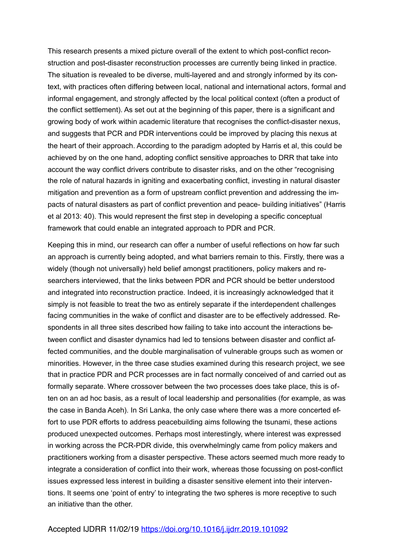This research presents a mixed picture overall of the extent to which post-conflict reconstruction and post-disaster reconstruction processes are currently being linked in practice. The situation is revealed to be diverse, multi-layered and and strongly informed by its context, with practices often differing between local, national and international actors, formal and informal engagement, and strongly affected by the local political context (often a product of the conflict settlement). As set out at the beginning of this paper, there is a significant and growing body of work within academic literature that recognises the conflict-disaster nexus, and suggests that PCR and PDR interventions could be improved by placing this nexus at the heart of their approach. According to the paradigm adopted by Harris et al, this could be achieved by on the one hand, adopting conflict sensitive approaches to DRR that take into account the way conflict drivers contribute to disaster risks, and on the other "recognising the role of natural hazards in igniting and exacerbating conflict, investing in natural disaster mitigation and prevention as a form of upstream conflict prevention and addressing the impacts of natural disasters as part of conflict prevention and peace- building initiatives" (Harris et al 2013: 40). This would represent the first step in developing a specific conceptual framework that could enable an integrated approach to PDR and PCR.

Keeping this in mind, our research can offer a number of useful reflections on how far such an approach is currently being adopted, and what barriers remain to this. Firstly, there was a widely (though not universally) held belief amongst practitioners, policy makers and researchers interviewed, that the links between PDR and PCR should be better understood and integrated into reconstruction practice. Indeed, it is increasingly acknowledged that it simply is not feasible to treat the two as entirely separate if the interdependent challenges facing communities in the wake of conflict and disaster are to be effectively addressed. Respondents in all three sites described how failing to take into account the interactions between conflict and disaster dynamics had led to tensions between disaster and conflict affected communities, and the double marginalisation of vulnerable groups such as women or minorities. However, in the three case studies examined during this research project, we see that in practice PDR and PCR processes are in fact normally conceived of and carried out as formally separate. Where crossover between the two processes does take place, this is often on an ad hoc basis, as a result of local leadership and personalities (for example, as was the case in Banda Aceh). In Sri Lanka, the only case where there was a more concerted effort to use PDR efforts to address peacebuilding aims following the tsunami, these actions produced unexpected outcomes. Perhaps most interestingly, where interest was expressed in working across the PCR-PDR divide, this overwhelmingly came from policy makers and practitioners working from a disaster perspective. These actors seemed much more ready to integrate a consideration of conflict into their work, whereas those focussing on post-conflict issues expressed less interest in building a disaster sensitive element into their interventions. It seems one 'point of entry' to integrating the two spheres is more receptive to such an initiative than the other.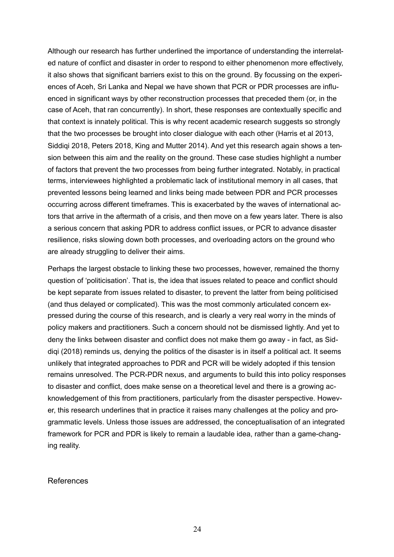Although our research has further underlined the importance of understanding the interrelated nature of conflict and disaster in order to respond to either phenomenon more effectively, it also shows that significant barriers exist to this on the ground. By focussing on the experiences of Aceh, Sri Lanka and Nepal we have shown that PCR or PDR processes are influenced in significant ways by other reconstruction processes that preceded them (or, in the case of Aceh, that ran concurrently). In short, these responses are contextually specific and that context is innately political. This is why recent academic research suggests so strongly that the two processes be brought into closer dialogue with each other (Harris et al 2013, Siddiqi 2018, Peters 2018, King and Mutter 2014). And yet this research again shows a tension between this aim and the reality on the ground. These case studies highlight a number of factors that prevent the two processes from being further integrated. Notably, in practical terms, interviewees highlighted a problematic lack of institutional memory in all cases, that prevented lessons being learned and links being made between PDR and PCR processes occurring across different timeframes. This is exacerbated by the waves of international actors that arrive in the aftermath of a crisis, and then move on a few years later. There is also a serious concern that asking PDR to address conflict issues, or PCR to advance disaster resilience, risks slowing down both processes, and overloading actors on the ground who are already struggling to deliver their aims.

Perhaps the largest obstacle to linking these two processes, however, remained the thorny question of 'politicisation'. That is, the idea that issues related to peace and conflict should be kept separate from issues related to disaster, to prevent the latter from being politicised (and thus delayed or complicated). This was the most commonly articulated concern expressed during the course of this research, and is clearly a very real worry in the minds of policy makers and practitioners. Such a concern should not be dismissed lightly. And yet to deny the links between disaster and conflict does not make them go away - in fact, as Siddiqi (2018) reminds us, denying the politics of the disaster is in itself a political act. It seems unlikely that integrated approaches to PDR and PCR will be widely adopted if this tension remains unresolved. The PCR-PDR nexus, and arguments to build this into policy responses to disaster and conflict, does make sense on a theoretical level and there is a growing acknowledgement of this from practitioners, particularly from the disaster perspective. However, this research underlines that in practice it raises many challenges at the policy and programmatic levels. Unless those issues are addressed, the conceptualisation of an integrated framework for PCR and PDR is likely to remain a laudable idea, rather than a game-changing reality.

#### References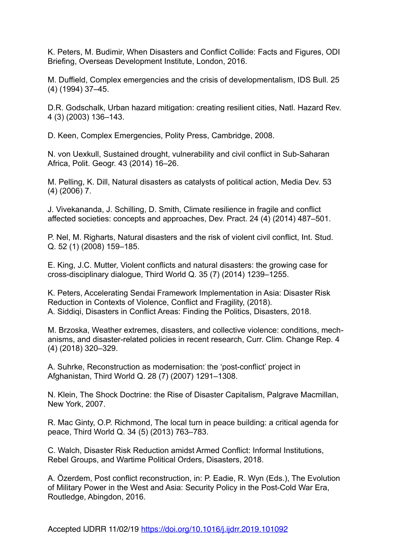K. Peters, M. Budimir, When Disasters and Conflict Collide: Facts and Figures, ODI Briefing, Overseas Development Institute, London, 2016.

M. Duffield, Complex emergencies and the crisis of developmentalism, IDS Bull. 25 (4) (1994) 37–45.

D.R. Godschalk, Urban hazard mitigation: creating resilient cities, Natl. Hazard Rev. 4 (3) (2003) 136–143.

D. Keen, Complex Emergencies, Polity Press, Cambridge, 2008.

N. von Uexkull, Sustained drought, vulnerability and civil conflict in Sub-Saharan Africa, Polit. Geogr. 43 (2014) 16–26.

M. Pelling, K. Dill, Natural disasters as catalysts of political action, Media Dev. 53 (4) (2006) 7.

J. Vivekananda, J. Schilling, D. Smith, Climate resilience in fragile and conflict affected societies: concepts and approaches, Dev. Pract. 24 (4) (2014) 487–501.

P. Nel, M. Righarts, Natural disasters and the risk of violent civil conflict, Int. Stud. Q. 52 (1) (2008) 159–185.

E. King, J.C. Mutter, Violent conflicts and natural disasters: the growing case for cross-disciplinary dialogue, Third World Q. 35 (7) (2014) 1239–1255.

K. Peters, Accelerating Sendai Framework Implementation in Asia: Disaster Risk Reduction in Contexts of Violence, Conflict and Fragility, (2018). A. Siddiqi, Disasters in Conflict Areas: Finding the Politics, Disasters, 2018.

M. Brzoska, Weather extremes, disasters, and collective violence: conditions, mechanisms, and disaster-related policies in recent research, Curr. Clim. Change Rep. 4 (4) (2018) 320–329.

A. Suhrke, Reconstruction as modernisation: the 'post-conflict' project in Afghanistan, Third World Q. 28 (7) (2007) 1291–1308.

N. Klein, The Shock Doctrine: the Rise of Disaster Capitalism, Palgrave Macmillan, New York, 2007.

R. Mac Ginty, O.P. Richmond, The local turn in peace building: a critical agenda for peace, Third World Q. 34 (5) (2013) 763–783.

C. Walch, Disaster Risk Reduction amidst Armed Conflict: Informal Institutions, Rebel Groups, and Wartime Political Orders, Disasters, 2018.

A. Özerdem, Post conflict reconstruction, in: P. Eadie, R. Wyn (Eds.), The Evolution of Military Power in the West and Asia: Security Policy in the Post-Cold War Era, Routledge, Abingdon, 2016.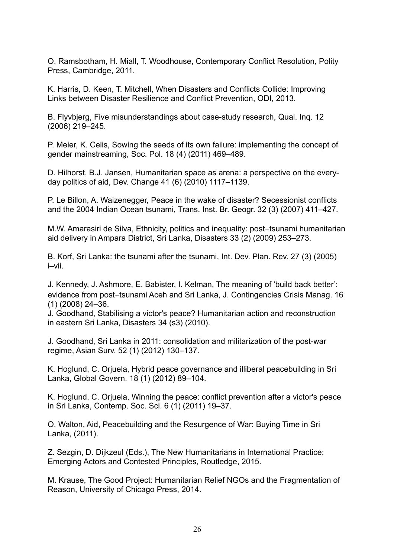O. Ramsbotham, H. Miall, T. Woodhouse, Contemporary Conflict Resolution, Polity Press, Cambridge, 2011.

K. Harris, D. Keen, T. Mitchell, When Disasters and Conflicts Collide: Improving Links between Disaster Resilience and Conflict Prevention, ODI, 2013.

B. Flyvbjerg, Five misunderstandings about case-study research, Qual. Inq. 12 (2006) 219–245.

P. Meier, K. Celis, Sowing the seeds of its own failure: implementing the concept of gender mainstreaming, Soc. Pol. 18 (4) (2011) 469–489.

D. Hilhorst, B.J. Jansen, Humanitarian space as arena: a perspective on the everyday politics of aid, Dev. Change 41 (6) (2010) 1117–1139.

P. Le Billon, A. Waizenegger, Peace in the wake of disaster? Secessionist conflicts and the 2004 Indian Ocean tsunami, Trans. Inst. Br. Geogr. 32 (3) (2007) 411–427.

M.W. Amarasiri de Silva, Ethnicity, politics and inequality: post-tsunami humanitarian aid delivery in Ampara District, Sri Lanka, Disasters 33 (2) (2009) 253–273.

B. Korf, Sri Lanka: the tsunami after the tsunami, Int. Dev. Plan. Rev. 27 (3) (2005) i–vii.

J. Kennedy, J. Ashmore, E. Babister, I. Kelman, The meaning of 'build back better': evidence from post-tsunami Aceh and Sri Lanka, J. Contingencies Crisis Manag. 16 (1) (2008) 24–36.

J. Goodhand, Stabilising a victor's peace? Humanitarian action and reconstruction in eastern Sri Lanka, Disasters 34 (s3) (2010).

J. Goodhand, Sri Lanka in 2011: consolidation and militarization of the post-war regime, Asian Surv. 52 (1) (2012) 130–137.

K. Hoglund, C. Orjuela, Hybrid peace governance and illiberal peacebuilding in Sri Lanka, Global Govern. 18 (1) (2012) 89–104.

K. Hoglund, C. Orjuela, Winning the peace: conflict prevention after a victor's peace in Sri Lanka, Contemp. Soc. Sci. 6 (1) (2011) 19–37.

O. Walton, Aid, Peacebuilding and the Resurgence of War: Buying Time in Sri Lanka, (2011).

Z. Sezgin, D. Dijkzeul (Eds.), The New Humanitarians in International Practice: Emerging Actors and Contested Principles, Routledge, 2015.

M. Krause, The Good Project: Humanitarian Relief NGOs and the Fragmentation of Reason, University of Chicago Press, 2014.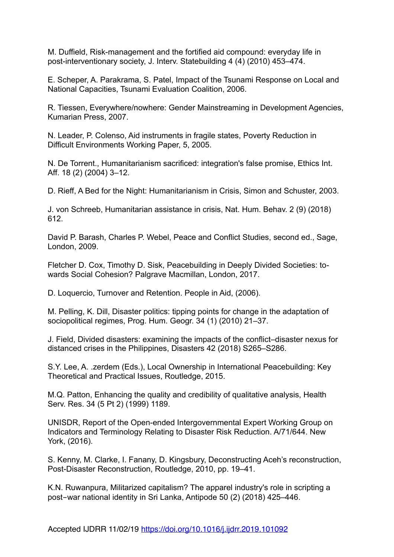M. Duffield, Risk-management and the fortified aid compound: everyday life in post-interventionary society, J. Interv. Statebuilding 4 (4) (2010) 453–474.

E. Scheper, A. Parakrama, S. Patel, Impact of the Tsunami Response on Local and National Capacities, Tsunami Evaluation Coalition, 2006.

R. Tiessen, Everywhere/nowhere: Gender Mainstreaming in Development Agencies, Kumarian Press, 2007.

N. Leader, P. Colenso, Aid instruments in fragile states, Poverty Reduction in Difficult Environments Working Paper, 5, 2005.

N. De Torrent., Humanitarianism sacrificed: integration's false promise, Ethics Int. Aff. 18 (2) (2004) 3–12.

D. Rieff, A Bed for the Night: Humanitarianism in Crisis, Simon and Schuster, 2003.

J. von Schreeb, Humanitarian assistance in crisis, Nat. Hum. Behav. 2 (9) (2018) 612.

David P. Barash, Charles P. Webel, Peace and Conflict Studies, second ed., Sage, London, 2009.

Fletcher D. Cox, Timothy D. Sisk, Peacebuilding in Deeply Divided Societies: towards Social Cohesion? Palgrave Macmillan, London, 2017.

D. Loquercio, Turnover and Retention. People in Aid, (2006).

M. Pelling, K. Dill, Disaster politics: tipping points for change in the adaptation of sociopolitical regimes, Prog. Hum. Geogr. 34 (1) (2010) 21–37.

J. Field, Divided disasters: examining the impacts of the conflict–disaster nexus for distanced crises in the Philippines, Disasters 42 (2018) S265–S286.

S.Y. Lee, A. .zerdem (Eds.), Local Ownership in International Peacebuilding: Key Theoretical and Practical Issues, Routledge, 2015.

M.Q. Patton, Enhancing the quality and credibility of qualitative analysis, Health Serv. Res. 34 (5 Pt 2) (1999) 1189.

UNISDR, Report of the Open-ended Intergovernmental Expert Working Group on Indicators and Terminology Relating to Disaster Risk Reduction. A/71/644. New York, (2016).

S. Kenny, M. Clarke, I. Fanany, D. Kingsbury, Deconstructing Aceh's reconstruction, Post-Disaster Reconstruction, Routledge, 2010, pp. 19–41.

K.N. Ruwanpura, Militarized capitalism? The apparel industry's role in scripting a post-war national identity in Sri Lanka, Antipode 50 (2) (2018) 425–446.